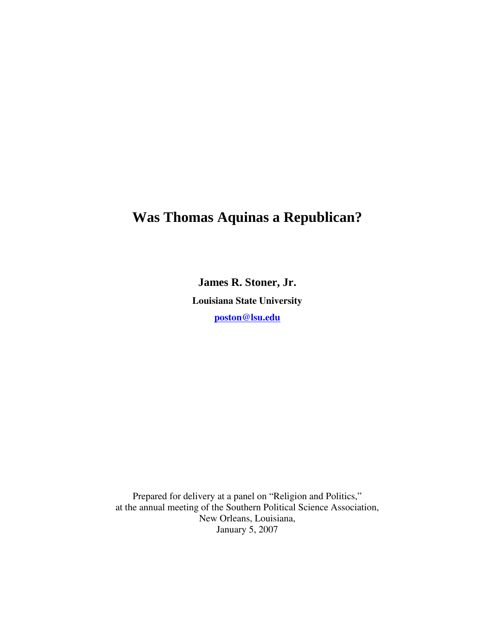# **Was Thomas Aquinas a Republican?**

**James R. Stoner, Jr. Louisiana State University poston@lsu.edu**

Prepared for delivery at a panel on "Religion and Politics," at the annual meeting of the Southern Political Science Association, New Orleans, Louisiana, January 5, 2007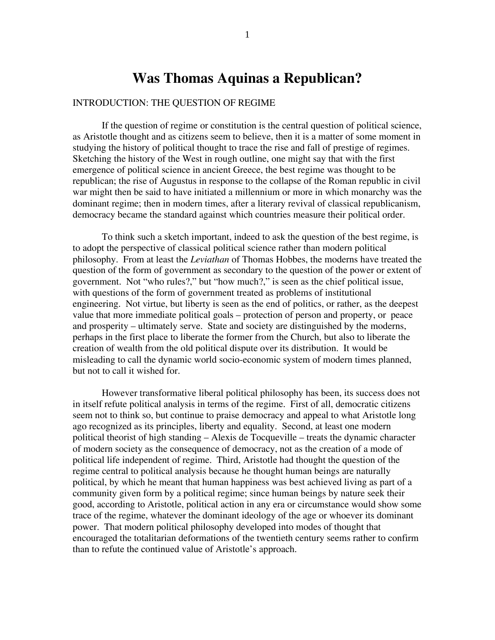## **Was Thomas Aquinas a Republican?**

### INTRODUCTION: THE QUESTION OF REGIME

If the question of regime or constitution is the central question of political science, as Aristotle thought and as citizens seem to believe, then it is a matter of some moment in studying the history of political thought to trace the rise and fall of prestige of regimes. Sketching the history of the West in rough outline, one might say that with the first emergence of political science in ancient Greece, the best regime was thought to be republican; the rise of Augustus in response to the collapse of the Roman republic in civil war might then be said to have initiated a millennium or more in which monarchy was the dominant regime; then in modern times, after a literary revival of classical republicanism, democracy became the standard against which countries measure their political order.

To think such a sketch important, indeed to ask the question of the best regime, is to adopt the perspective of classical political science rather than modern political philosophy. From at least the *Leviathan* of Thomas Hobbes, the moderns have treated the question of the form of government as secondary to the question of the power or extent of government. Not "who rules?," but "how much?," is seen as the chief political issue, with questions of the form of government treated as problems of institutional engineering. Not virtue, but liberty is seen as the end of politics, or rather, as the deepest value that more immediate political goals – protection of person and property, or peace and prosperity –ultimately serve. State and society are distinguished by the moderns, perhaps in the first place to liberate the former from the Church, but also to liberate the creation of wealth from the old political dispute over its distribution. It would be misleading to call the dynamic world socio-economic system of modern times planned, but not to call it wished for.

However transformative liberal political philosophy has been, its success does not in itself refute political analysis in terms of the regime. First of all, democratic citizens seem not to think so, but continue to praise democracy and appeal to what Aristotle long ago recognized as its principles, liberty and equality. Second, at least one modern political theorist of high standing – Alexis de Tocqueville – treats the dynamic character of modern society as the consequence of democracy, not as the creation of a mode of political life independent of regime. Third, Aristotle had thought the question of the regime central to political analysis because he thought human beings are naturally political, by which he meant that human happiness was best achieved living as part of a community given form by a political regime; since human beings by nature seek their good, according to Aristotle, political action in any era or circumstance would show some trace of the regime, whatever the dominant ideology of the age or whoever its dominant power. That modern political philosophy developed into modes of thought that encouraged the totalitarian deformations of the twentieth century seems rather to confirm than to refute the continued value of Aristotle's approach.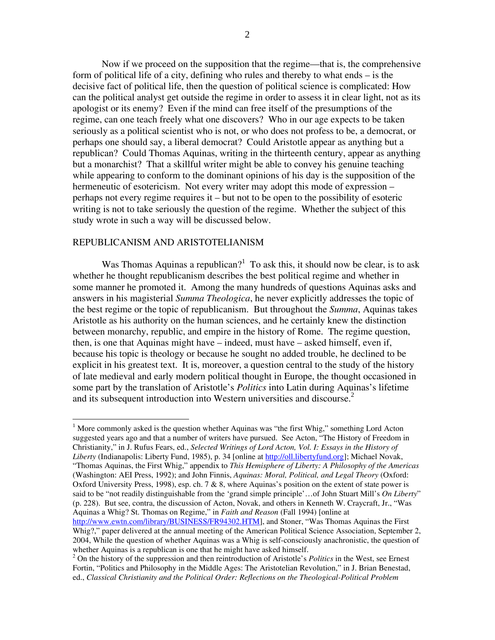Now if we proceed on the supposition that the regime—that is, the comprehensive form of political life of a city, defining who rules and thereby to what ends  $-$  is the decisive fact of political life, then the question of political science is complicated: How can the political analyst get outside the regime in order to assess it in clear light, not as its apologist or its enemy? Even if the mind can free itself of the presumptions of the regime, can one teach freely what one discovers? Who in our age expects to be taken seriously as a political scientist who is not, or who does not profess to be, a democrat, or perhaps one should say, a liberal democrat? Could Aristotle appear as anything but a republican? Could Thomas Aquinas, writing in the thirteenth century, appear as anything but a monarchist? That a skillful writer might be able to convey his genuine teaching while appearing to conform to the dominant opinions of his day is the supposition of the hermeneutic of esotericism. Not every writer may adopt this mode of expression – perhaps not every regime requires it –but not to be open to the possibility of esoteric writing is not to take seriously the question of the regime. Whether the subject of this study wrote in such a way will be discussed below.

#### REPUBLICANISM AND ARISTOTELIANISM

Was Thomas Aquinas a republican?<sup>1</sup> To ask this, it should now be clear, is to ask whether he thought republicanism describes the best political regime and whether in some manner he promoted it. Among the many hundreds of questions Aquinas asks and answers in his magisterial *Summa Theologica*, he never explicitly addresses the topic of the best regime or the topic of republicanism. But throughout the *Summa*, Aquinas takes Aristotle as his authority on the human sciences, and he certainly knew the distinction between monarchy, republic, and empire in the history of Rome. The regime question, then, is one that Aquinas might have – indeed, must have – asked himself, even if, because his topic is theology or because he sought no added trouble, he declined to be explicit in his greatest text. It is, moreover, a question central to the study of the history of late medieval and early modern political thought in Europe, the thought occasioned in some part by the translation of Aristotle's *Politics* into Latin during Aquinas's lifetime and its subsequent introduction into Western universities and discourse. $2^2$ 

<sup>&</sup>lt;sup>1</sup> More commonly asked is the question whether Aquinas was "the first Whig," something Lord Acton suggested years ago and that a number of writers have pursued. See Acton, "The History of Freedom in Christianity,"inJ.RufusFears,ed.,*Selected Writings of Lord Acton, Vol. I: Essays in the History of Liberty* (Indianapolis: Liberty Fund, 1985), p. 34 [online at http://oll.libertyfund.org]; Michael Novak, "Thomas Aquinas, the First Whig," appendix to *This Hemisphere of Liberty: A Philosophy of the Americas* (Washington: AEI Press, 1992); and John Finnis, *Aquinas: Moral, Political, and Legal Theory* (Oxford: Oxford University Press, 1998), esp. ch. 7 & 8, where Aquinas's position on the extent of state power is said to be "not readily distinguishable from the 'grand simple principle'...of John Stuart Mill's *On Liberty*" (p. 228). But see, contra, the discussion of Acton, Novak, and others in Kenneth W. Craycraft, Jr., "Was Aquinas a Whig? St. Thomas on Regime," in Faith and Reason (Fall 1994) [online at http://www.ewtn.com/library/BUSINESS/FR94302.HTM], and Stoner, "Was Thomas Aquinas the First

Whig?," paper delivered at the annual meeting of the American Political Science Association, September 2, 2004, While the question of whether Aquinas was a Whig is self-consciously anachronistic, the question of whether Aquinas is a republican is one that he might have asked himself.

<sup>&</sup>lt;sup>2</sup> On the history of the suppression and then reintroduction of Aristotle's *Politics* in the West, see Ernest Fortin, "Politics and Philosophy in the Middle Ages: The Aristotelian Revolution," in J. Brian Benestad, ed., *Classical Christianity and the Political Order: Reflections on the Theological-Political Problem*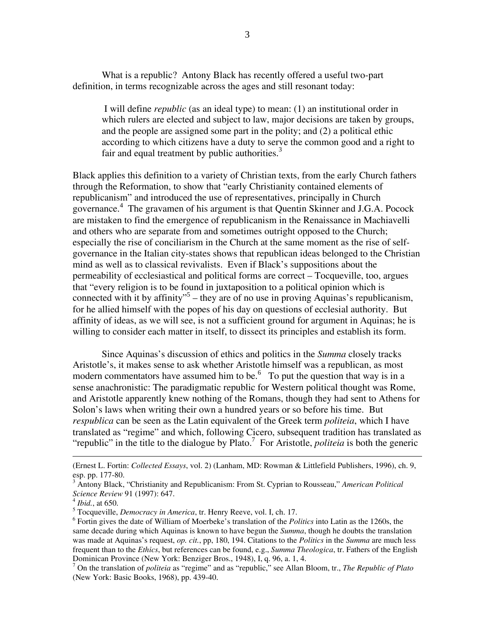What is a republic? Antony Black has recently offered a useful two-part definition, in terms recognizable across the ages and still resonant today:

I will define *republic* (as an ideal type) to mean: (1) an institutional order in which rulers are elected and subject to law, major decisions are taken by groups, and the people are assigned some part in the polity; and (2) a political ethic according to which citizens have a duty to serve the common good and a right to fair and equal treatment by public authorities. $3$ 

Black applies this definition to a variety of Christian texts, from the early Church fathers through the Reformation, to show that "early Christianity contained elements of republicanism" and introduced the use of representatives, principally in Church governance.<sup>4</sup> The gravamen of his argument is that Quentin Skinner and J.G.A. Pocock are mistaken to find the emergence of republicanism in the Renaissance in Machiavelli and others who are separate from and sometimes outright opposed to the Church; especially the rise of conciliarism in the Church at the same moment as the rise of selfgovernance in the Italian city-states shows that republican ideas belonged to the Christian mind as well as to classical revivalists. Even if Black's suppositions about the permeability of ecclesiastical and political forms are correct –Tocqueville, too, argues that "every religion is to be found in juxtaposition to a political opinion which is connected with it by affinity"<sup>5</sup> – they are of no use in proving Aquinas's republicanism, for he allied himself with the popes of his day on questions of ecclesial authority. But affinity of ideas, as we will see, is not a sufficient ground for argument in Aquinas; he is willing to consider each matter in itself, to dissect its principles and establish its form.

Since Aquinas's discussion of ethics and politics in the *Summa* closely tracks Aristotle's, it makes sense to ask whether Aristotle himself was a republican, as most modern commentators have assumed him to be.<sup>6</sup> To put the question that way is in a sense anachronistic: The paradigmatic republic for Western political thought was Rome, and Aristotle apparently knew nothing of the Romans, though they had sent to Athens for Solon's laws when writing their own a hundred years or so before his time. But *respublica* can be seen as the Latin equivalent of the Greek term *politeia*, which I have translated as "regime" and which, following Cicero, subsequent tradition has translated as "republic" in the title to the dialogue by Plato.<sup>7</sup> For Aristotle, *politeia* is both the generic

<sup>5</sup> Tocqueville, *Democracy in America*, tr. Henry Reeve, vol. I, ch. 17.

<sup>(</sup>Ernest L. Fortin: *Collected Essays*, vol. 2) (Lanham, MD: Rowman & Littlefield Publishers, 1996), ch. 9, esp. pp. 177-80.

<sup>&</sup>lt;sup>3</sup> Antony Black, "Christianity and Republicanism: From St. Cyprian to Rousseau," *American Political Science Review* 91 (1997): 647.

<sup>4</sup> *Ibid.*, at 650.

<sup>&</sup>lt;sup>6</sup> Fortin gives the date of William of Moerbeke's translation of the *Politics* into Latin as the 1260s, the same decade during which Aquinas is known to have begun the *Summa*, though he doubts the translation was made at Aquinas's request, *op. cit.*, pp, 180, 194. Citations to the *Politics* in the *Summa* are much less frequent than to the *Ethics*, but references can be found, e.g., *Summa Theologica*, tr. Fathers of the English Dominican Province (New York: Benziger Bros., 1948), I, q. 96, a. 1, 4.

<sup>7</sup> On the translation of *politeia* as"regime"andas"republic,"seeAllanBloom,tr.,*The Republic of Plato* (New York: Basic Books, 1968), pp. 439-40.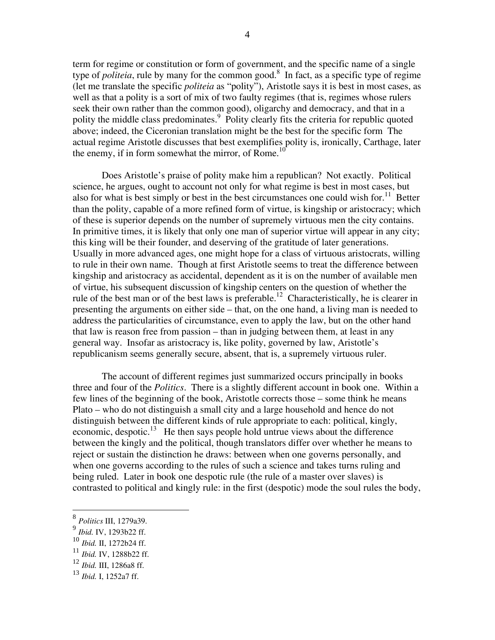term for regime or constitution or form of government, and the specific name of a single type of *politeia*, rule by many for the common good.<sup>8</sup> In fact, as a specific type of regime (let me translate the specific *politeia* as "polity"), Aristotle says it is best in most cases, as well as that a polity is a sort of mix of two faulty regimes (that is, regimes whose rulers seek their own rather than the common good), oligarchy and democracy, and that in a polity the middle class predominates.<sup>9</sup> Polity clearly fits the criteria for republic quoted above; indeed, the Ciceronian translation might be the best for the specific form The actual regime Aristotle discusses that best exemplifies polity is, ironically, Carthage, later the enemy, if in form somewhat the mirror, of Rome.<sup>10</sup>

Does Aristotle's praise of polity make him a republican? Not exactly. Political science, he argues, ought to account not only for what regime is best in most cases, but also for what is best simply or best in the best circumstances one could wish for.<sup>11</sup> Better than the polity, capable of a more refined form of virtue, is kingship or aristocracy; which of these is superior depends on the number of supremely virtuous men the city contains. In primitive times, it is likely that only one man of superior virtue will appear in any city; this king will be their founder, and deserving of the gratitude of later generations. Usually in more advanced ages, one might hope for a class of virtuous aristocrats, willing to rule in their own name. Though at first Aristotle seems to treat the difference between kingship and aristocracy as accidental, dependent as it is on the number of available men of virtue, his subsequent discussion of kingship centers on the question of whether the rule of the best man or of the best laws is preferable.<sup>12</sup> Characteristically, he is clearer in presenting the arguments on either side – that, on the one hand, a living man is needed to address the particularities of circumstance, even to apply the law, but on the other hand that law is reason free from passion – than in judging between them, at least in any general way. Insofar as aristocracy is, like polity, governed by law, Aristotle's republicanism seems generally secure, absent, that is, a supremely virtuous ruler.

The account of different regimes just summarized occurs principally in books three and four of the *Politics*. There is a slightly different account in book one. Within a few lines of the beginning of the book, Aristotle corrects those – some think he means Plato – who do not distinguish a small city and a large household and hence do not distinguish between the different kinds of rule appropriate to each: political, kingly, economic, despotic. $^{13}$  He then says people hold untrue views about the difference between the kingly and the political, though translators differ over whether he means to reject or sustain the distinction he draws: between when one governs personally, and when one governs according to the rules of such a science and takes turns ruling and being ruled. Later in book one despotic rule (the rule of a master over slaves) is contrasted to political and kingly rule: in the first (despotic) mode the soul rules the body,

<sup>8</sup> *Politics* III, 1279a39.

<sup>9</sup> *Ibid.* IV, 1293b22 ff.

<sup>10</sup> *Ibid.* II, 1272b24 ff.

<sup>11</sup> *Ibid.* IV, 1288b22 ff.

<sup>12</sup> *Ibid.* III, 1286a8 ff.

<sup>13</sup> *Ibid.* I, 1252a7 ff.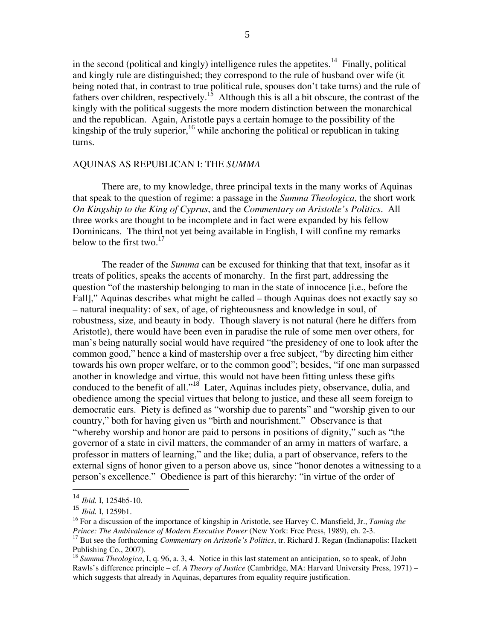in the second (political and kingly) intelligence rules the appetites.<sup>14</sup> Finally, political and kingly rule are distinguished; they correspond to the rule of husband over wife (it being noted that, in contrast to true political rule, spouses don't take turns) and the rule of fathers over children, respectively.<sup>15</sup> Although this is all a bit obscure, the contrast of the kingly with the political suggests the more modern distinction between the monarchical and the republican. Again, Aristotle pays a certain homage to the possibility of the kingship of the truly superior, <sup>16</sup> while anchoring the political or republican in taking turns.

#### AQUINAS AS REPUBLICAN I: THE SUMMA

There are, to my knowledge, three principal texts in the many works of Aquinas that speak to the question of regime: a passage in the Summa Theologica, the short work On Kingship to the King of Cyprus, and the Commentary on Aristotle's Politics. All three works are thought to be incomplete and in fact were expanded by his fellow Dominicans. The third not yet being available in English, I will confine my remarks below to the first two. $17$ 

The reader of the *Summa* can be excused for thinking that that text, insofar as it treats of politics, speaks the accents of monarchy. In the first part, addressing the question "of the mastership belonging to man in the state of innocence [i.e., before the Fall]," Aquinas describes what might be called – though Aquinas does not exactly say so - natural inequality: of sex, of age, of righteousness and knowledge in soul, of robustness, size, and beauty in body. Though slavery is not natural (here he differs from Aristotle), there would have been even in paradise the rule of some men over others, for man's being naturally social would have required "the presidency of one to look after the common good," hence a kind of mastership over a free subject, "by directing him either towards his own proper welfare, or to the common good"; besides, "if one man surpassed another in knowledge and virtue, this would not have been fitting unless these gifts conduced to the benefit of all."<sup>18</sup> Later, Aquinas includes piety, observance, dulia, and obedience among the special virtues that belong to justice, and these all seem foreign to democratic ears. Piety is defined as "worship due to parents" and "worship given to our country," both for having given us "birth and nourishment." Observance is that "whereby worship and honor are paid to persons in positions of dignity," such as "the governor of a state in civil matters, the commander of an army in matters of warfare, a professor in matters of learning," and the like; dulia, a part of observance, refers to the external signs of honor given to a person above us, since "honor denotes a witnessing to a person's excellence." Obedience is part of this hierarchy: "in virtue of the order of

 $14$  Ibid. I, 1254b5-10.

 $\frac{15 \text{ }\text{L}}{16}$  Ibid. I, 1259b1.

<sup>&</sup>lt;sup>16</sup> For a discussion of the importance of kingship in Aristotle, see Harvey C. Mansfield, Jr., Taming the Prince: The Ambivalence of Modern Executive Power (New York: Free Press, 1989), ch. 2-3.

<sup>&</sup>lt;sup>17</sup> But see the forthcoming *Commentary on Aristotle's Politics*, tr. Richard J. Regan (Indianapolis: Hackett Publishing Co., 2007).

 $^{18}$  Summa Theologica, I, q. 96, a. 3, 4. Notice in this last statement an anticipation, so to speak, of John Rawls's difference principle - cf. A Theory of Justice (Cambridge, MA: Harvard University Press, 1971) which suggests that already in Aquinas, departures from equality require justification.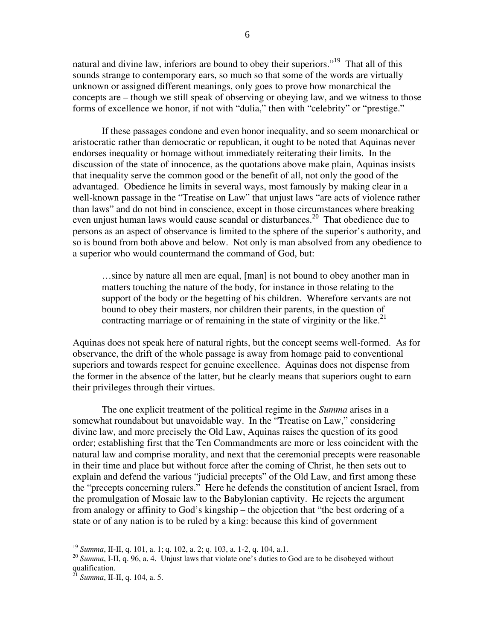natural and divine law, inferiors are bound to obey their superiors."<sup>19</sup> That all of this sounds strange to contemporary ears, so much so that some of the words are virtually unknown or assigned different meanings, only goes to prove how monarchical the concepts are – though we still speak of observing or obeying law, and we witness to those forms of excellence we honor, if not with "dulia," then with "celebrity" or "prestige."

If these passages condone and even honor inequality, and so seem monarchical or aristocratic rather than democratic or republican, it ought to be noted that Aquinas never endorses inequality or homage without immediately reiterating their limits. In the discussion of the state of innocence, as the quotations above make plain, Aquinas insists that inequality serve the common good or the benefit of all, not only the good of the advantaged. Obedience he limits in several ways, most famously by making clear in a well-known passage in the "Treatise on Law" that unjust laws "are acts of violence rather than laws" and do not bind in conscience, except in those circumstances where breaking even unjust human laws would cause scandal or disturbances.<sup>20</sup> That obedience due to persons as an aspect of observance is limited to the sphere of the superior's authority, and so is bound from both above and below. Not only is man absolved from any obedience to a superior who would countermand the command of God, but:

…since by nature all men are equal, [man] is not bound to obey another man in matters touching the nature of the body, for instance in those relating to the support of the body or the begetting of his children. Wherefore servants are not bound to obey their masters, nor children their parents, in the question of contracting marriage or of remaining in the state of virginity or the like. $21$ 

Aquinas does not speak here of natural rights, but the concept seems well-formed. As for observance, the drift of the whole passage is away from homage paid to conventional superiors and towards respect for genuine excellence. Aquinas does not dispense from the former in the absence of the latter, but he clearly means that superiors ought to earn their privileges through their virtues.

The one explicit treatment of the political regime in the *Summa* arises in a somewhat roundabout but unavoidable way. In the "Treatise on Law," considering divine law, and more precisely the Old Law, Aquinas raises the question of its good order; establishing first that the Ten Commandments are more or less coincident with the natural law and comprise morality, and next that the ceremonial precepts were reasonable in their time and place but without force after the coming of Christ, he then sets out to explain and defend the various "judicial precepts" of the Old Law, and first among these the "precepts concerning rulers." Here he defends the constitution of ancient Israel, from the promulgation of Mosaic law to the Babylonian captivity. He rejects the argument from analogy or affinity to God's kingship – the objection that "the best ordering of a state or of any nation is to be ruled by a king: because this kind of government

<sup>19</sup> *Summa*, II-II, q. 101, a. 1; q. 102, a. 2; q. 103, a. 1-2, q. 104, a.1.

<sup>&</sup>lt;sup>20</sup> *Summa*, I-II, q. 96, a.4. Unjust laws that violate one's duties to God are to be disobeyed without qualification.

<sup>21</sup> *Summa*, II-II, q. 104, a. 5.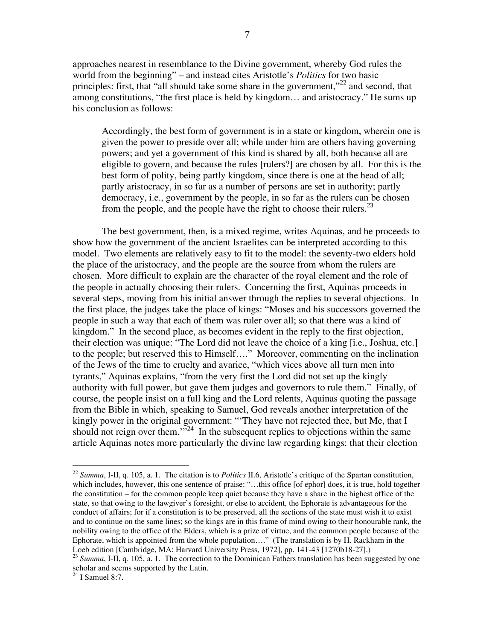approaches nearest in resemblance to the Divine government, whereby God rules the world from the beginning" – and instead cites Aristotle's *Politics* for two basic principles: first, that "all should take some share in the government,"<sup>22</sup> and second, that among constitutions, "the first place is held by kingdom... and aristocracy." He sums up his conclusion as follows:

Accordingly, the best form of government is in a state or kingdom, wherein one is given the power to preside over all; while under him are others having governing powers; and yet a government of this kind is shared by all, both because all are eligible to govern, and because the rules [rulers?] are chosen by all. For this is the best form of polity, being partly kingdom, since there is one at the head of all; partly aristocracy, in so far as a number of persons are set in authority; partly democracy, i.e., government by the people, in so far as the rulers can be chosen from the people, and the people have the right to choose their rulers.<sup>23</sup>

The best government, then, is a mixed regime, writes Aquinas, and he proceeds to show how the government of the ancient Israelites can be interpreted according to this model. Two elements are relatively easy to fit to the model: the seventy-two elders hold the place of the aristocracy, and the people are the source from whom the rulers are chosen. More difficult to explain are the character of the royal element and the role of the people in actually choosing their rulers. Concerning the first, Aquinas proceeds in several steps, moving from his initial answer through the replies to several objections. In the first place, the judges take the place of kings: "Moses and his successors governed the people in such a way that each of them was ruler over all; so that there was a kind of kingdom." In the second place, as becomes evident in the reply to the first objection, their election was unique: "The Lord did not leave the choice of a king [i.e., Joshua, etc.] to the people; but reserved this to Himself...." Moreover, commenting on the inclination of the Jews of the time to cruelty and avarice, "which vices above all turn men into tyrants," Aquinas explains, "from the very first the Lord did not set up the kingly authority with full power, but gave them judges and governors to rule them." Finally, of course, the people insist on a full king and the Lord relents, Aquinas quoting the passage from the Bible in which, speaking to Samuel, God reveals another interpretation of the kingly power in the original government: "They have not rejected thee, but Me, that I should not reign over them." $\frac{1}{2}$  In the subsequent replies to objections within the same article Aquinas notes more particularly the divine law regarding kings: that their election

<sup>&</sup>lt;sup>22</sup> *Summa*, I-II, q. 105, a. 1. The citation is to *Politics* II.6, Aristotle's critique of the Spartan constitution, which includes, however, this one sentence of praise: "...this office [of ephor] does, it is true, hold together the constitution – for the common people keep quiet because they have a share in the highest office of the state, so that owing to the lawgiver's foresight, or else to accident, the Ephorate is advantageous for the conduct of affairs; for if a constitution is to be preserved, all the sections of the state must wish it to exist and to continue on the same lines; so the kings are in this frame of mind owing to their honourable rank, the nobility owing to the office of the Elders, which is a prize of virtue, and the common people because of the Ephorate, which is appointed from the whole population...." (The translation is by H. Rackham in the Loeb edition [Cambridge, MA: Harvard University Press, 1972], pp. 141-43 [1270b18-27].)

<sup>&</sup>lt;sup>23</sup> Summa, I-II, q. 105, a. 1. The correction to the Dominican Fathers translation has been suggested by one scholar and seems supported by the Latin.

 $24$  I Samuel 8:7.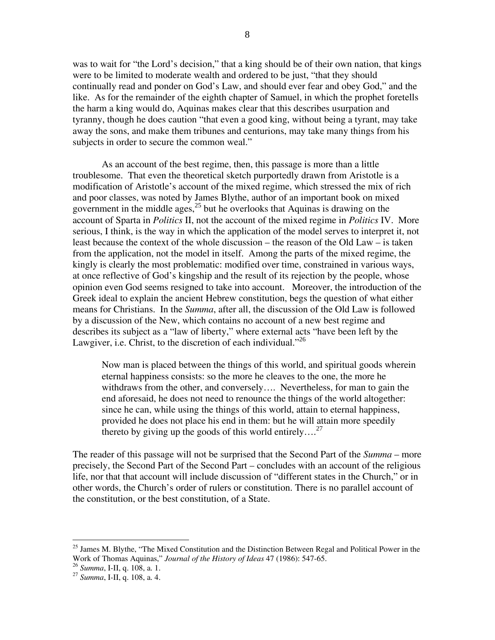was to wait for "the Lord's decision," that a king should be of their own nation, that kings were to be limited to moderate wealth and ordered to be just, "that they should continually read and ponder on God's Law, and should ever fear and obey God," and the like. As for the remainder of the eighth chapter of Samuel, in which the prophet foretells the harm a king would do, Aquinas makes clear that this describes usurpation and tyranny, though he does caution "that even a good king, without being a tyrant, may take away the sons, and make them tribunes and centurions, may take many things from his subjects in order to secure the common weal."

As an account of the best regime, then, this passage is more than a little troublesome. That even the theoretical sketch purportedly drawn from Aristotle is a modification of Aristotle's account of the mixed regime, which stressed the mix of rich and poor classes, was noted by James Blythe, author of an important book on mixed government in the middle ages,  $^{25}$  but he overlooks that Aquinas is drawing on the account of Sparta in *Politics* II, not the account of the mixed regime in *Politics* IV. More serious, I think, is the way in which the application of the model serves to interpret it, not least because the context of the whole discussion – the reason of the Old Law – is taken from the application, not the model in itself. Among the parts of the mixed regime, the kingly is clearly the most problematic: modified over time, constrained in various ways, at once reflective of God's kingship and the result of its rejection by the people, whose opinion even God seems resigned to take into account. Moreover, the introduction of the Greek ideal to explain the ancient Hebrew constitution, begs the question of what either means for Christians. In the *Summa*, after all, the discussion of the Old Law is followed by a discussion of the New, which contains no account of a new best regime and describes its subject as a "law of liberty," where external acts "have been left by the Lawgiver, i.e. Christ, to the discretion of each individual."<sup>26</sup>

Now man is placed between the things of this world, and spiritual goods wherein eternal happiness consists: so the more he cleaves to the one, the more he withdraws from the other, and conversely.... Nevertheless, for man to gain the end aforesaid, he does not need to renounce the things of the world altogether: since he can, while using the things of this world, attain to eternal happiness, provided he does not place his end in them: but he will attain more speedily thereto by giving up the goods of this world entirely....<sup>27</sup>

The reader of this passage will not be surprised that the Second Part of the Summa – more precisely, the Second Part of the Second Part – concludes with an account of the religious life, nor that that account will include discussion of "different states in the Church," or in other words, the Church's order of rulers or constitution. There is no parallel account of the constitution, or the best constitution, of a State.

<sup>&</sup>lt;sup>25</sup> James M. Blythe, "The Mixed Constitution and the Distinction Between Regal and Political Power in the Work of Thomas Aguinas," Journal of the History of Ideas 47 (1986): 547-65.

<sup>&</sup>lt;sup>26</sup> Summa, I-II, q. 108, a. 1.

<sup>&</sup>lt;sup>27</sup> Summa, I-II, q. 108, a. 4.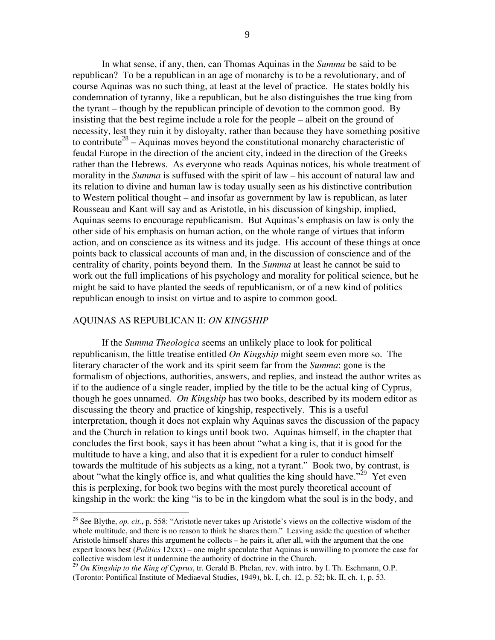In what sense, if any, then, can Thomas Aquinas in the *Summa* be said to be republican? To be a republican in an age of monarchy is to be a revolutionary, and of course Aquinas was no such thing, at least at the level of practice. He states boldly his condemnation of tyranny, like a republican, but he also distinguishes the true king from the tyrant – though by the republican principle of devotion to the common good. By insisting that the best regime include a role for the people – albeit on the ground of necessity, lest they ruin it by disloyalty, rather than because they have something positive to contribute<sup>28</sup> – Aquinas moves beyond the constitutional monarchy characteristic of feudal Europe in the direction of the ancient city, indeed in the direction of the Greeks rather than the Hebrews. As everyone who reads Aquinas notices, his whole treatment of morality in the *Summa* is suffused with the spirit of law – his account of natural law and its relation to divine and human law is today usually seen as his distinctive contribution to Western political thought – and insofar as government by law is republican, as later Rousseau and Kant will say and as Aristotle, in his discussion of kingship, implied, Aquinas seems to encourage republicanism. But Aquinas's emphasis on law is only the other side of his emphasis on human action, on the whole range of virtues that inform action, and on conscience as its witness and its judge. His account of these things at once points back to classical accounts of man and, in the discussion of conscience and of the centrality of charity, points beyond them. In the *Summa* at least he cannot be said to work out the full implications of his psychology and morality for political science, but he might be said to have planted the seeds of republicanism, or of a new kind of politics republican enough to insist on virtue and to aspire to common good.

#### AQUINAS AS REPUBLICAN II: *ON KINGSHIP*

If the *Summa Theologica* seems an unlikely place to look for political republicanism, the little treatise entitled *On Kingship* might seem even more so. The literary character of the work and its spirit seem far from the *Summa*: gone is the formalism of objections, authorities, answers, and replies, and instead the author writes as if to the audience of a single reader, implied by the title to be the actual king of Cyprus, though he goes unnamed. *On Kingship* has two books, described by its modern editor as discussing the theory and practice of kingship, respectively. This is a useful interpretation, though it does not explain why Aquinas saves the discussion of the papacy and the Church in relation to kings until book two. Aquinas himself, in the chapter that concludes the first book, says it has been about "what a king is, that it is good for the multitude to have a king, and also that it is expedient for a ruler to conduct himself towards the multitude of his subjects as a king, not a tyrant." Book two, by contrast, is about "what the kingly office is, and what qualities the king should have."<sup>29</sup> Yet even this is perplexing, for book two begins with the most purely theoretical account of kingship in the work: the king "is to be in the kingdom what the soul is in the body, and

<sup>&</sup>lt;sup>28</sup> See Blythe, *op. cit.*, p. 558: "Aristotle never takes up Aristotle's views on the collective wisdom of the whole multitude, and there is no reason to think he shares them." Leaving aside the question of whether Aristotle himself shares this argument he collects – he pairs it, after all, with the argument that the one expert knows best (*Politics* 12xxx) – one might speculate that Aquinas is unwilling to promote the case for collective wisdom lest it undermine the authority of doctrine in the Church.

<sup>&</sup>lt;sup>29</sup> *On Kingship to the King of Cyprus*, tr. Gerald B. Phelan, rev. with intro. by I. Th. Eschmann, O.P. (Toronto: Pontifical Institute of Mediaeval Studies, 1949), bk. I, ch. 12, p. 52; bk. II, ch. 1, p. 53.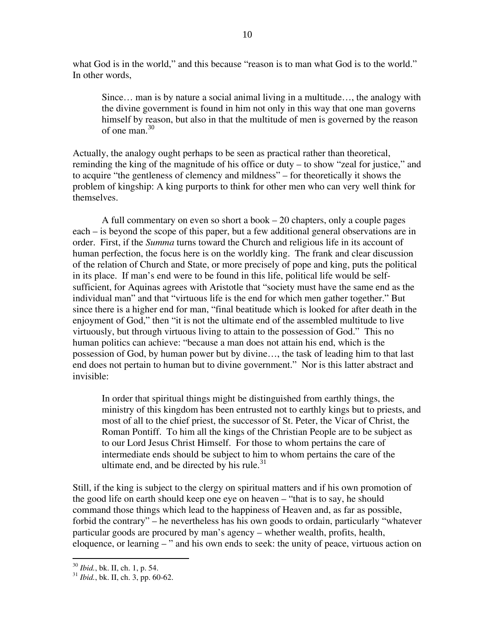what God is in the world," and this because "reason is to man what God is to the world." In other words.

Since... man is by nature a social animal living in a multitude..., the analogy with the divine government is found in him not only in this way that one man governs himself by reason, but also in that the multitude of men is governed by the reason of one man.  $30$ 

Actually, the analogy ought perhaps to be seen as practical rather than theoretical, reminding the king of the magnitude of his office or duty – to show "zeal for justice," and to acquire "the gentleness of clemency and mildness" – for theoretically it shows the problem of kingship: A king purports to think for other men who can very well think for themselves.

A full commentary on even so short a book  $-20$  chapters, only a couple pages each – is beyond the scope of this paper, but a few additional general observations are in order. First, if the *Summa* turns toward the Church and religious life in its account of human perfection, the focus here is on the worldly king. The frank and clear discussion of the relation of Church and State, or more precisely of pope and king, puts the political in its place. If man's end were to be found in this life, political life would be selfsufficient, for Aquinas agrees with Aristotle that "society must have the same end as the individual man" and that "virtuous life is the end for which men gather together." But since there is a higher end for man, "final beatitude which is looked for after death in the enjoyment of God," then "it is not the ultimate end of the assembled multitude to live virtuously, but through virtuous living to attain to the possession of God." This no human politics can achieve: "because a man does not attain his end, which is the possession of God, by human power but by divine..., the task of leading him to that last end does not pertain to human but to divine government." Nor is this latter abstract and invisible:

In order that spiritual things might be distinguished from earthly things, the ministry of this kingdom has been entrusted not to earthly kings but to priests, and most of all to the chief priest, the successor of St. Peter, the Vicar of Christ, the Roman Pontiff. To him all the kings of the Christian People are to be subject as to our Lord Jesus Christ Himself. For those to whom pertains the care of intermediate ends should be subject to him to whom pertains the care of the ultimate end, and be directed by his rule.<sup>31</sup>

Still, if the king is subject to the clergy on spiritual matters and if his own promotion of the good life on earth should keep one eye on heaven – "that is to say, he should command those things which lead to the happiness of Heaven and, as far as possible, forbid the contrary" – he nevertheless has his own goods to ordain, particularly "whatever" particular goods are procured by man's agency – whether wealth, profits, health, eloquence, or learning – " and his own ends to seek: the unity of peace, virtuous action on

<sup>&</sup>lt;sup>30</sup> *Ibid.*, bk. II, ch. 1, p. 54.

 $31$  *Ibid.*, bk. II, ch. 3, pp. 60-62.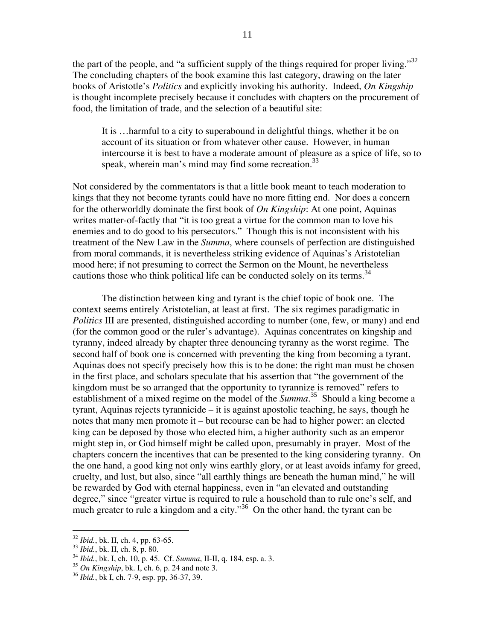the part of the people, and "a sufficient supply of the things required for proper living." $32$ The concluding chapters of the book examine this last category, drawing on the later books of Aristotle's *Politics* and explicitly invoking his authority. Indeed, *On Kingship* is thought incomplete precisely because it concludes with chapters on the procurement of food, the limitation of trade, and the selection of a beautiful site:

It is …harmful to a city to superabound in delightful things, whether it be on account of its situation or from whatever other cause. However, in human intercourse it is best to have a moderate amount of pleasure as a spice of life, so to speak, wherein man's mind may find some recreation.<sup>33</sup>

Not considered by the commentators is that a little book meant to teach moderation to kings that they not become tyrants could have no more fitting end. Nor does a concern for the otherworldly dominate the first book of *On Kingship*: At one point, Aquinas writes matter-of-factly that "it is too great a virtue for the common man to love his enemies and to do good to his persecutors." Though this is not inconsistent with his treatment of the New Law in the *Summa*, where counsels of perfection are distinguished from moral commands, it is nevertheless striking evidence of Aquinas's Aristotelian mood here; if not presuming to correct the Sermon on the Mount, he nevertheless cautions those who think political life can be conducted solely on its terms.<sup>34</sup>

The distinction between king and tyrant is the chief topic of book one. The context seems entirely Aristotelian, at least at first. The six regimes paradigmatic in *Politics* III are presented, distinguished according to number (one, few, or many) and end (for the common good or the ruler's advantage). Aquinas concentrates on kingship and tyranny, indeed already by chapter three denouncing tyranny as the worst regime. The second half of book one is concerned with preventing the king from becoming a tyrant. Aquinas does not specify precisely how this is to be done: the right man must be chosen in the first place, and scholars speculate that his assertion that "the government of the kingdom must be so arranged that the opportunity to tyrannize is removed" refers to establishment of a mixed regime on the model of the *Summa*. <sup>35</sup> Should a king become a tyrant, Aquinas rejects tyrannicide  $-$  it is against apostolic teaching, he says, though he notes that many men promote it –but recourse can be had to higher power: an elected king can be deposed by those who elected him, a higher authority such as an emperor might step in, or God himself might be called upon, presumably in prayer. Most of the chapters concern the incentives that can be presented to the king considering tyranny. On the one hand, a good king not only wins earthly glory, or at least avoids infamy for greed, cruelty, and lust, but also, since "all earthly things are beneath the human mind," he will be rewarded by God with eternal happiness, even in "an elevated and outstanding degree," since "greater virtue is required to rule a household than to rule one's self, and much greater to rule a kingdom and a city."<sup>36</sup> On the other hand, the tyrant can be

<sup>32</sup> *Ibid.*, bk. II, ch. 4, pp. 63-65.

<sup>33</sup> *Ibid.*, bk. II, ch. 8, p. 80.

<sup>34</sup> *Ibid.*, bk. I, ch. 10, p. 45. Cf. *Summa*, II-II, q. 184, esp. a. 3.

<sup>35</sup> *On Kingship*, bk. I, ch. 6, p. 24 and note 3.

<sup>36</sup> *Ibid.*, bk I, ch. 7-9, esp. pp, 36-37, 39.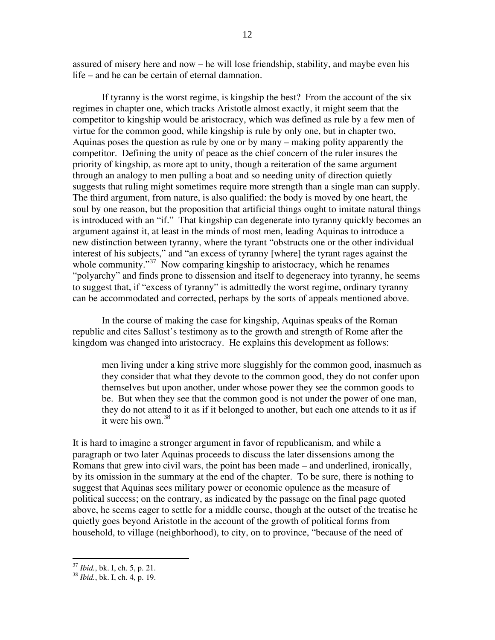assured of misery here and now  $-$  he will lose friendship, stability, and maybe even his life – and he can be certain of eternal damnation.

If tyranny is the worst regime, is kingship the best? From the account of the six regimes in chapter one, which tracks Aristotle almost exactly, it might seem that the competitor to kingship would be aristocracy, which was defined as rule by a few men of virtue for the common good, while kingship is rule by only one, but in chapter two, Aquinas poses the question as rule by one or by many – making polity apparently the competitor. Defining the unity of peace as the chief concern of the ruler insures the priority of kingship, as more apt to unity, though a reiteration of the same argument through an analogy to men pulling a boat and so needing unity of direction quietly suggests that ruling might sometimes require more strength than a single man can supply. The third argument, from nature, is also qualified: the body is moved by one heart, the soul by one reason, but the proposition that artificial things ought to imitate natural things is introduced with an "if." That kingship can degenerate into tyranny quickly becomes an argument against it, at least in the minds of most men, leading Aquinas to introduce a new distinction between tyranny, where the tyrant "obstructs one or the other individual interest of his subjects," and "an excess of tyranny [where] the tyrant rages against the whole community." $37$  Now comparing kingship to aristocracy, which he renames "polyarchy" and finds prone to dissension and itself to degeneracy into tyranny, he seems to suggest that, if "excess of tyranny" is admittedly the worst regime, ordinary tyranny can be accommodated and corrected, perhaps by the sorts of appeals mentioned above.

In the course of making the case for kingship, Aquinas speaks of the Roman republic and cites Sallust's testimony as to the growth and strength of Rome after the kingdom was changed into aristocracy. He explains this development as follows:

men living under a king strive more sluggishly for the common good, inasmuch as they consider that what they devote to the common good, they do not confer upon themselves but upon another, under whose power they see the common goods to be. But when they see that the common good is not under the power of one man, they do not attend to it as if it belonged to another, but each one attends to it as if it were his own.  $38$ 

It is hard to imagine a stronger argument in favor of republicanism, and while a paragraph or two later Aquinas proceeds to discuss the later dissensions among the Romans that grew into civil wars, the point has been made – and underlined, ironically, by its omission in the summary at the end of the chapter. To be sure, there is nothing to suggest that Aquinas sees military power or economic opulence as the measure of political success; on the contrary, as indicated by the passage on the final page quoted above, he seems eager to settle for a middle course, though at the outset of the treatise he quietly goes beyond Aristotle in the account of the growth of political forms from household, to village (neighborhood), to city, on to province, "because of the need of

<sup>37</sup> *Ibid.*, bk. I, ch. 5, p. 21.

<sup>38</sup> *Ibid.*, bk. I, ch. 4, p. 19.